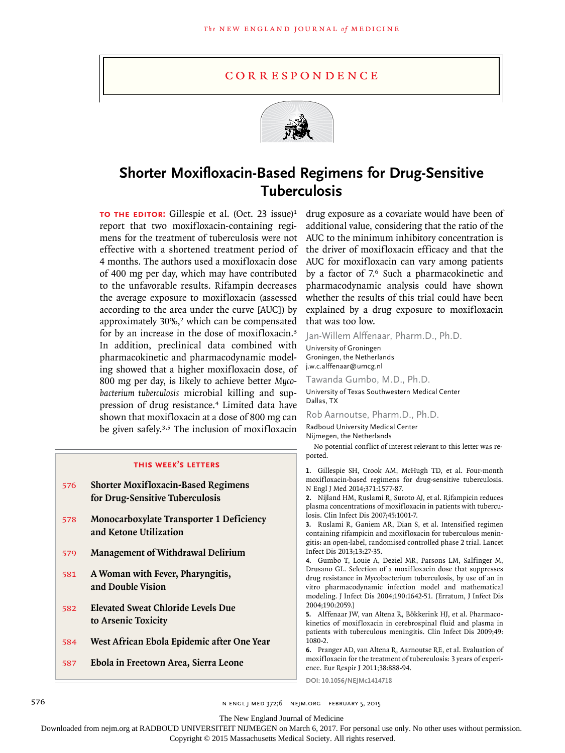## correspondence



## **Shorter Moxifloxacin-Based Regimens for Drug-Sensitive Tuberculosis**

**TO THE EDITOR:** Gillespie et al. (Oct. 23 issue)<sup>1</sup> report that two moxifloxacin-containing regimens for the treatment of tuberculosis were not effective with a shortened treatment period of 4 months. The authors used a moxifloxacin dose of 400 mg per day, which may have contributed to the unfavorable results. Rifampin decreases the average exposure to moxifloxacin (assessed according to the area under the curve [AUC]) by approximately 30%,<sup>2</sup> which can be compensated for by an increase in the dose of moxifloxacin.<sup>3</sup> In addition, preclinical data combined with pharmacokinetic and pharmacodynamic modeling showed that a higher moxifloxacin dose, of 800 mg per day, is likely to achieve better *Mycobacterium tuberculosis* microbial killing and suppression of drug resistance.4 Limited data have shown that moxifloxacin at a dose of 800 mg can be given safely.<sup>3,5</sup> The inclusion of moxifloxacin

## **this week's letters**

- 576 **Shorter Moxifloxacin-Based Regimens for Drug-Sensitive Tuberculosis**
- 578 **Monocarboxylate Transporter 1 Deficiency and Ketone Utilization**
- 579 **Management of Withdrawal Delirium**
- 581 **A Woman with Fever, Pharyngitis, and Double Vision**
- 582 **Elevated Sweat Chloride Levels Due to Arsenic Toxicity**
- 584 **West African Ebola Epidemic after One Year**
- 587 **Ebola in Freetown Area, Sierra Leone**

drug exposure as a covariate would have been of additional value, considering that the ratio of the AUC to the minimum inhibitory concentration is the driver of moxifloxacin efficacy and that the AUC for moxifloxacin can vary among patients by a factor of 7.6 Such a pharmacokinetic and pharmacodynamic analysis could have shown whether the results of this trial could have been explained by a drug exposure to moxifloxacin that was too low.

Jan-Willem Alffenaar, Pharm.D., Ph.D.

University of Groningen Groningen, the Netherlands j.w.c.alffenaar@umcg.nl

Tawanda Gumbo, M.D., Ph.D.

University of Texas Southwestern Medical Center Dallas, TX

Rob Aarnoutse, Pharm.D., Ph.D.

Radboud University Medical Center Nijmegen, the Netherlands

No potential conflict of interest relevant to this letter was reported.

**1.** Gillespie SH, Crook AM, McHugh TD, et al. Four-month moxifloxacin-based regimens for drug-sensitive tuberculosis. N Engl J Med 2014;371:1577-87.

**2.** Nijland HM, Ruslami R, Suroto AJ, et al. Rifampicin reduces plasma concentrations of moxifloxacin in patients with tuberculosis. Clin Infect Dis 2007;45:1001-7.

**3.** Ruslami R, Ganiem AR, Dian S, et al. Intensified regimen containing rifampicin and moxifloxacin for tuberculous meningitis: an open-label, randomised controlled phase 2 trial. Lancet Infect Dis 2013;13:27-35.

**4.** Gumbo T, Louie A, Deziel MR, Parsons LM, Salfinger M, Drusano GL. Selection of a moxifloxacin dose that suppresses drug resistance in Mycobacterium tuberculosis, by use of an in vitro pharmacodynamic infection model and mathematical modeling. J Infect Dis 2004;190:1642-51. [Erratum, J Infect Dis 2004;190:2059.]

**5.** Alffenaar JW, van Altena R, Bökkerink HJ, et al. Pharmacokinetics of moxifloxacin in cerebrospinal fluid and plasma in patients with tuberculous meningitis. Clin Infect Dis 2009;49: 1080-2.

**6.** Pranger AD, van Altena R, Aarnoutse RE, et al. Evaluation of moxifloxacin for the treatment of tuberculosis: 3 years of experience. Eur Respir J 2011;38:888-94.

**DOI: 10.1056/NEJMc1414718**

576 **120 12:00 n engl j med 372;6 nejm.org FEBRUARY 5, 2015** 

The New England Journal of Medicine

Downloaded from nejm.org at RADBOUD UNIVERSITEIT NIJMEGEN on March 6, 2017. For personal use only. No other uses without permission.

Copyright © 2015 Massachusetts Medical Society. All rights reserved.